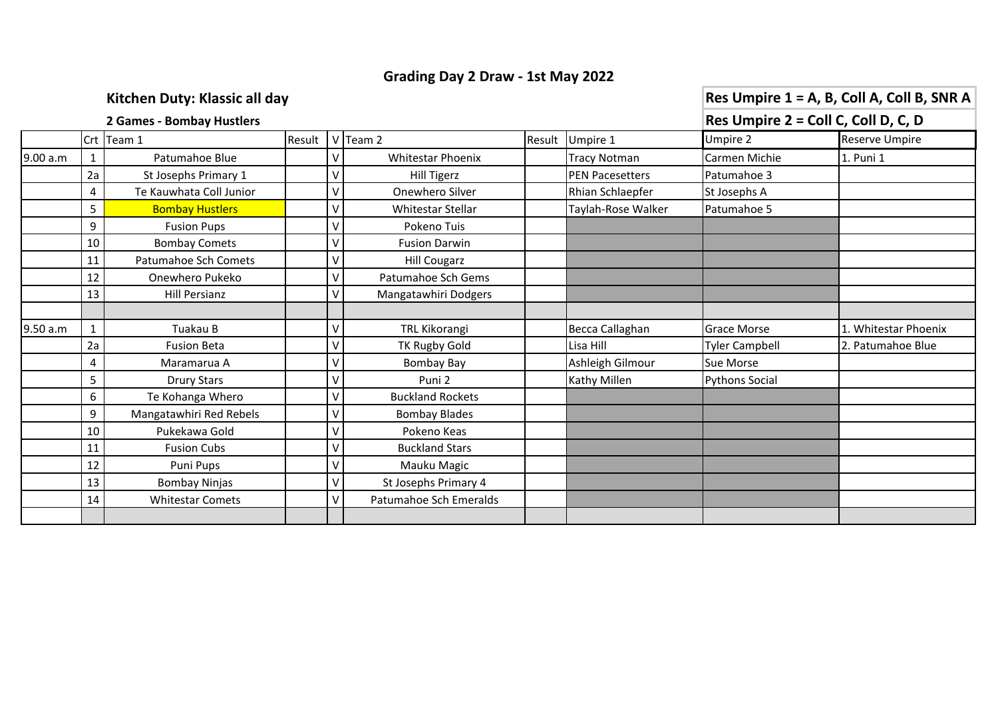## **Grading Day 2 Draw - 1st May 2022**

**Kitchen Duty: Klassic all day Res Umpire 1 = A, B, Coll A, Coll B, SNR A** 

## **2 Games - Bombay Hustlers Res Umpire 2 = Coll C, Coll D, C, D** Crt |Team 1 |Result | V |Team 2 |Result | Umpire 1 | Umpire 2 Reserve Umpire 9.00 a.m 1 Patumahoe Blue V Whitestar Phoenix Tracy Notman Carmen Michie 1. Puni 1 2a St Josephs Primary 1  $|v|$  Hill Tigerz Film PEN Pacesetters Patumahoe 3 4 Te Kauwhata Coll Junior  $|v|$  Onewhero Silver  $|v|$  Rhian Schlaepfer St Josephs A 5 Bombay Hustlers V V Whitestar Stellar Taylah-Rose Walker Patumahoe 5 9 | Fusion Pups | V | Pokeno Tuis 10 Bombay Comets  $|V|$  Fusion Darwin 11 Patumahoe Sch Comets  $|V|$  Hill Cougarz 12 Onewhero Pukeko  $|v|$  Patumahoe Sch Gems 13 Hill Persianz | V | Mangatawhiri Dodgers 9.50 a.m | 1 | Tuakau B | | | | V | TRL Kikorangi | | | | Becca Callaghan | Grace Morse | 1. Whitestar Phoenix 2a | Campbell Constanting | TK Rugby Gold | Lisa Hill | Tyler Campbell | 2. Patumahoe Blue 4 Maramarua A V V Bombay Bay Ashleigh Gilmour Sue Morse 5 | Drury Stars | V | Puni 2 | Kathy Millen | Pythons Social 6 Te Kohanga Whero  $|V|$  Buckland Rockets 9 Mangatawhiri Red Rebels V Bombay Blades 10 Pukekawa Gold  $|V|$  Pokeno Keas 11 Fusion Cubs  $|V|$  Buckland Stars 12 Puni Pups Puni V V Mauku Magic 13 Bombay Ninjas V V St Josephs Primary 4 14 Whitestar Comets V V Patumahoe Sch Emeralds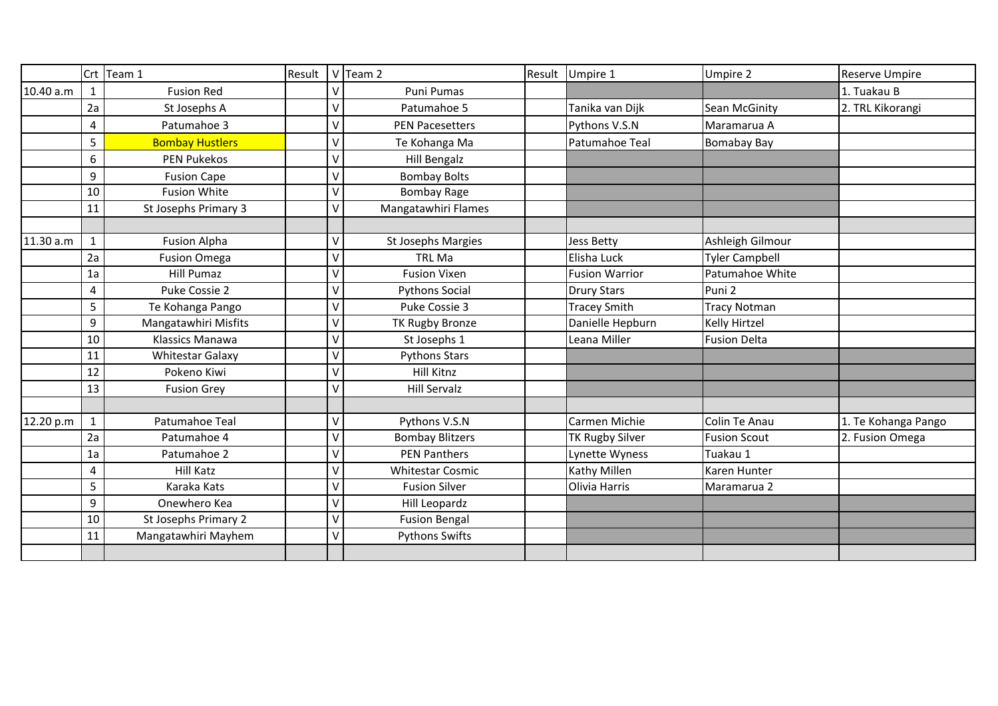|           |              | Crt Team 1              | Result |         | V Team 2                | Result | Umpire 1               | Umpire 2              | Reserve Umpire      |
|-----------|--------------|-------------------------|--------|---------|-------------------------|--------|------------------------|-----------------------|---------------------|
| 10.40 a.m |              | <b>Fusion Red</b>       |        | $\vee$  | Puni Pumas              |        |                        |                       | 1. Tuakau B         |
|           | 2a           | St Josephs A            |        | $\vee$  | Patumahoe 5             |        | Tanika van Dijk        | Sean McGinity         | 2. TRL Kikorangi    |
|           | 4            | Patumahoe 3             |        | $\vee$  | <b>PEN Pacesetters</b>  |        | Pythons V.S.N          | Maramarua A           |                     |
|           | 5            | <b>Bombay Hustlers</b>  |        | $\vee$  | Te Kohanga Ma           |        | Patumahoe Teal         | <b>Bomabay Bay</b>    |                     |
|           | 6            | <b>PEN Pukekos</b>      |        | $\vee$  | Hill Bengalz            |        |                        |                       |                     |
|           | 9            | <b>Fusion Cape</b>      |        | $\vee$  | <b>Bombay Bolts</b>     |        |                        |                       |                     |
|           | 10           | <b>Fusion White</b>     |        | $\vee$  | <b>Bombay Rage</b>      |        |                        |                       |                     |
|           | 11           | St Josephs Primary 3    |        | $\vee$  | Mangatawhiri Flames     |        |                        |                       |                     |
|           |              |                         |        |         |                         |        |                        |                       |                     |
| 11.30 a.m | $\mathbf{1}$ | <b>Fusion Alpha</b>     |        | $\sf V$ | St Josephs Margies      |        | <b>Jess Betty</b>      | Ashleigh Gilmour      |                     |
|           | 2a           | <b>Fusion Omega</b>     |        | $\vee$  | <b>TRL Ma</b>           |        | Elisha Luck            | <b>Tyler Campbell</b> |                     |
|           | 1a           | <b>Hill Pumaz</b>       |        | $\vee$  | <b>Fusion Vixen</b>     |        | <b>Fusion Warrior</b>  | Patumahoe White       |                     |
|           | 4            | Puke Cossie 2           |        | $\vee$  | <b>Pythons Social</b>   |        | <b>Drury Stars</b>     | Puni <sub>2</sub>     |                     |
|           | 5            | Te Kohanga Pango        |        | $\vee$  | Puke Cossie 3           |        | <b>Tracey Smith</b>    | <b>Tracy Notman</b>   |                     |
|           | 9            | Mangatawhiri Misfits    |        | $\vee$  | TK Rugby Bronze         |        | Danielle Hepburn       | <b>Kelly Hirtzel</b>  |                     |
|           | 10           | Klassics Manawa         |        | $\vee$  | St Josephs 1            |        | Leana Miller           | <b>Fusion Delta</b>   |                     |
|           | 11           | <b>Whitestar Galaxy</b> |        | $\vee$  | <b>Pythons Stars</b>    |        |                        |                       |                     |
|           | 12           | Pokeno Kiwi             |        | $\vee$  | Hill Kitnz              |        |                        |                       |                     |
|           | 13           | <b>Fusion Grey</b>      |        | $\vee$  | <b>Hill Servalz</b>     |        |                        |                       |                     |
|           |              |                         |        |         |                         |        |                        |                       |                     |
| 12.20 p.m | $\mathbf{1}$ | Patumahoe Teal          |        | $\sf V$ | Pythons V.S.N           |        | Carmen Michie          | Colin Te Anau         | 1. Te Kohanga Pango |
|           | 2a           | Patumahoe 4             |        | $\vee$  | <b>Bombay Blitzers</b>  |        | <b>TK Rugby Silver</b> | <b>Fusion Scout</b>   | 2. Fusion Omega     |
|           | 1a           | Patumahoe 2             |        | $\vee$  | <b>PEN Panthers</b>     |        | Lynette Wyness         | Tuakau 1              |                     |
|           | 4            | Hill Katz               |        | $\vee$  | <b>Whitestar Cosmic</b> |        | Kathy Millen           | Karen Hunter          |                     |
|           | 5            | Karaka Kats             |        | $\vee$  | <b>Fusion Silver</b>    |        | Olivia Harris          | Maramarua 2           |                     |
|           | 9            | Onewhero Kea            |        | $\vee$  | Hill Leopardz           |        |                        |                       |                     |
|           | 10           | St Josephs Primary 2    |        | $\vee$  | <b>Fusion Bengal</b>    |        |                        |                       |                     |
|           | 11           | Mangatawhiri Mayhem     |        | $\vee$  | <b>Pythons Swifts</b>   |        |                        |                       |                     |
|           |              |                         |        |         |                         |        |                        |                       |                     |